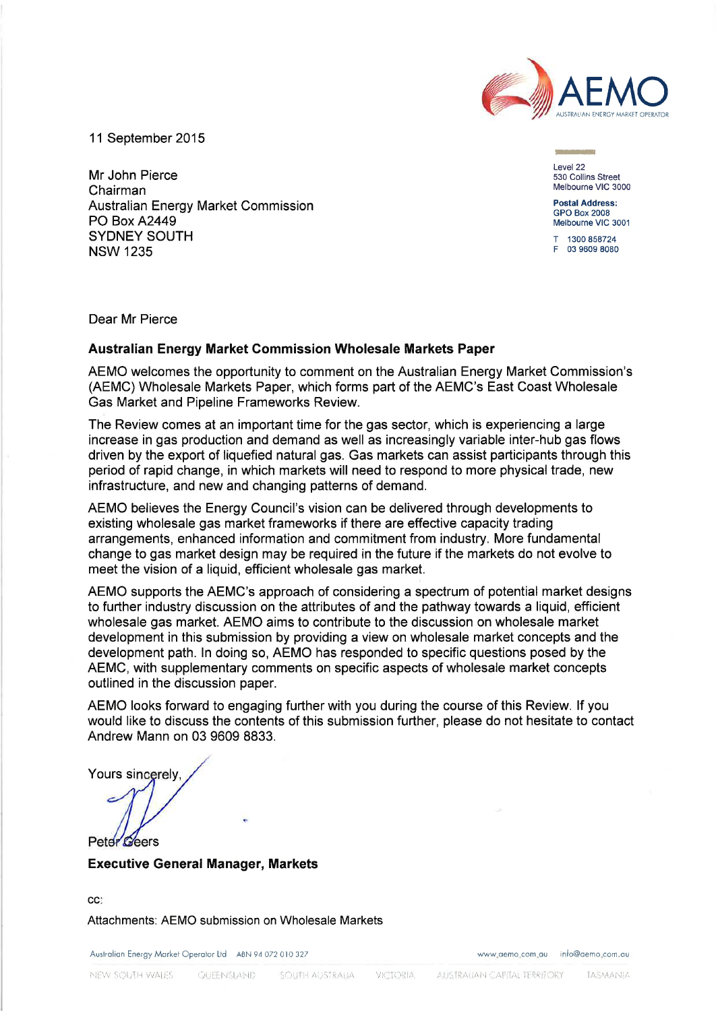

11 September 2015

Mr John Pierce Chairman **Australian Energy Market Commission PO Box A2449 SYDNEY SOUTH NSW 1235** 

Level 22 530 Collins Street Melbourne VIC 3000

**Postal Address: GPO Box 2008** Melbourne VIC 3001

T 1300 858724 F 03 9609 8080

Dear Mr Pierce

# Australian Energy Market Commission Wholesale Markets Paper

AEMO welcomes the opportunity to comment on the Australian Energy Market Commission's (AEMC) Wholesale Markets Paper, which forms part of the AEMC's East Coast Wholesale Gas Market and Pipeline Frameworks Review.

The Review comes at an important time for the gas sector, which is experiencing a large increase in gas production and demand as well as increasingly variable inter-hub gas flows driven by the export of liquefied natural gas. Gas markets can assist participants through this period of rapid change, in which markets will need to respond to more physical trade, new infrastructure, and new and changing patterns of demand.

AEMO believes the Energy Council's vision can be delivered through developments to existing wholesale gas market frameworks if there are effective capacity trading arrangements, enhanced information and commitment from industry. More fundamental change to gas market design may be required in the future if the markets do not evolve to meet the vision of a liquid, efficient wholesale gas market.

AEMO supports the AEMC's approach of considering a spectrum of potential market designs to further industry discussion on the attributes of and the pathway towards a liquid, efficient wholesale gas market. AEMO aims to contribute to the discussion on wholesale market development in this submission by providing a view on wholesale market concepts and the development path. In doing so, AEMO has responded to specific questions posed by the AEMC, with supplementary comments on specific aspects of wholesale market concepts outlined in the discussion paper.

AEMO looks forward to engaging further with you during the course of this Review. If you would like to discuss the contents of this submission further, please do not hesitate to contact Andrew Mann on 03 9609 8833.

Yours sincerely.

Peter Geers

**Executive General Manager, Markets** 

CC.

Attachments: AEMO submission on Wholesale Markets

Australian Energy Market Operator Ltd ABN 94 072 010 327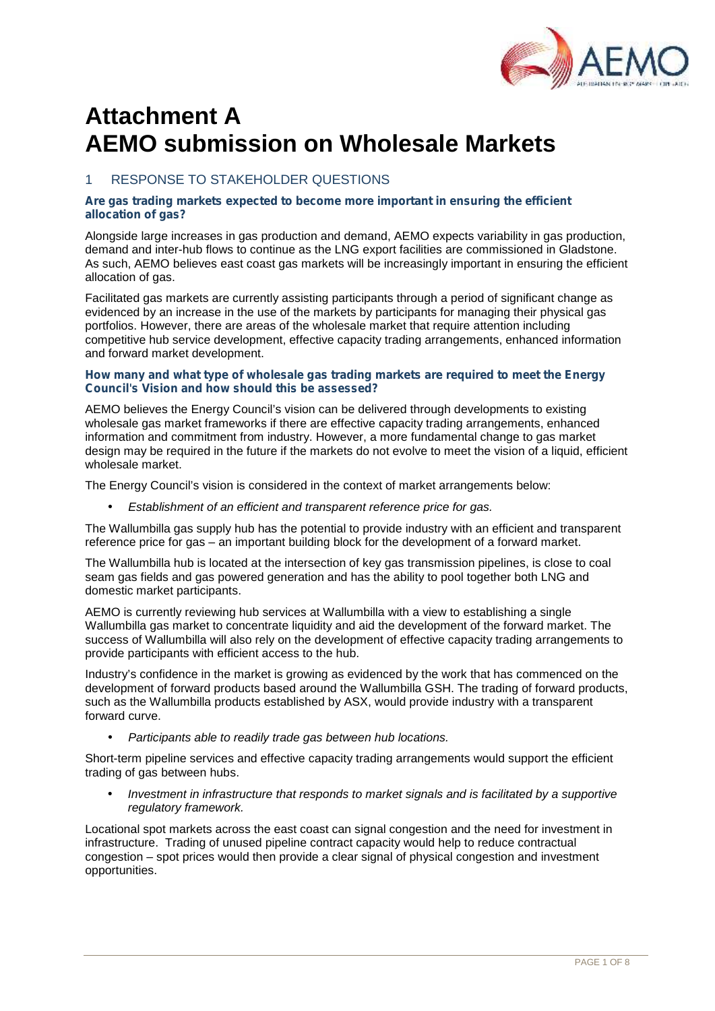

# **Attachment A AEMO submission on Wholesale Markets**

# RESPONSE TO STAKEHOLDER QUESTIONS

### *Are gas trading markets expected to become more important in ensuring the efficient allocation of gas?*

Alongside large increases in gas production and demand, AEMO expects variability in gas production, demand and inter-hub flows to continue as the LNG export facilities are commissioned in Gladstone. As such, AEMO believes east coast gas markets will be increasingly important in ensuring the efficient allocation of gas.

Facilitated gas markets are currently assisting participants through a period of significant change as evidenced by an increase in the use of the markets by participants for managing their physical gas portfolios. However, there are areas of the wholesale market that require attention including competitive hub service development, effective capacity trading arrangements, enhanced information and forward market development.

### *How many and what type of wholesale gas trading markets are required to meet the Energy Council's Vision and how should this be assessed?*

AEMO believes the Energy Council's vision can be delivered through developments to existing wholesale gas market frameworks if there are effective capacity trading arrangements, enhanced information and commitment from industry. However, a more fundamental change to gas market design may be required in the future if the markets do not evolve to meet the vision of a liquid, efficient wholesale market.

The Energy Council's vision is considered in the context of market arrangements below:

*Establishment of an efficient and transparent reference price for gas.*

The Wallumbilla gas supply hub has the potential to provide industry with an efficient and transparent reference price for gas – an important building block for the development of a forward market.

The Wallumbilla hub is located at the intersection of key gas transmission pipelines, is close to coal seam gas fields and gas powered generation and has the ability to pool together both LNG and domestic market participants.

AEMO is currently reviewing hub services at Wallumbilla with a view to establishing a single Wallumbilla gas market to concentrate liquidity and aid the development of the forward market. The success of Wallumbilla will also rely on the development of effective capacity trading arrangements to provide participants with efficient access to the hub.

Industry's confidence in the market is growing as evidenced by the work that has commenced on the development of forward products based around the Wallumbilla GSH. The trading of forward products, such as the Wallumbilla products established by ASX, would provide industry with a transparent forward curve.

*Participants able to readily trade gas between hub locations.*

Short-term pipeline services and effective capacity trading arrangements would support the efficient trading of gas between hubs.

 *Investment in infrastructure that responds to market signals and is facilitated by a supportive regulatory framework.*

Locational spot markets across the east coast can signal congestion and the need for investment in infrastructure. Trading of unused pipeline contract capacity would help to reduce contractual congestion – spot prices would then provide a clear signal of physical congestion and investment opportunities.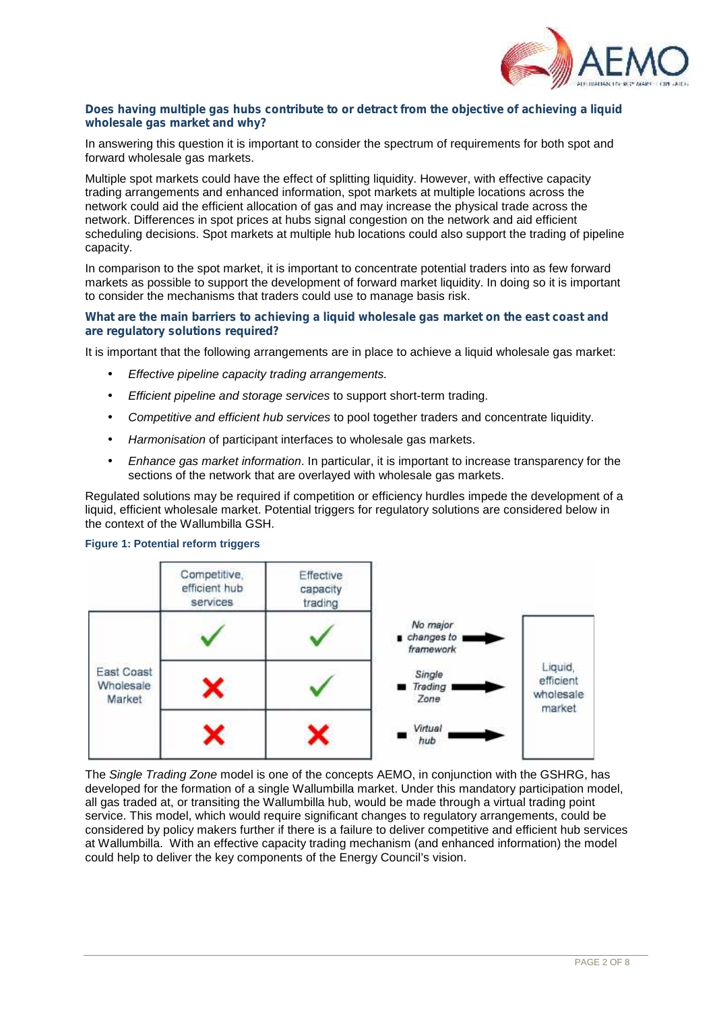

### *Does having multiple gas hubs contribute to or detract from the objective of achieving a liquid wholesale gas market and why?*

In answering this question it is important to consider the spectrum of requirements for both spot and forward wholesale gas markets.

Multiple spot markets could have the effect of splitting liquidity. However, with effective capacity trading arrangements and enhanced information, spot markets at multiple locations across the network could aid the efficient allocation of gas and may increase the physical trade across the network. Differences in spot prices at hubs signal congestion on the network and aid efficient scheduling decisions. Spot markets at multiple hub locations could also support the trading of pipeline capacity.

In comparison to the spot market, it is important to concentrate potential traders into as few forward markets as possible to support the development of forward market liquidity. In doing so it is important to consider the mechanisms that traders could use to manage basis risk.

### *What are the main barriers to achieving a liquid wholesale gas market on the east coast and are regulatory solutions required?*

It is important that the following arrangements are in place to achieve a liquid wholesale gas market:

- *Effective pipeline capacity trading arrangements.*
- *Efficient pipeline and storage services* to support short-term trading.
- *Competitive and efficient hub services* to pool together traders and concentrate liquidity.
- *Harmonisation* of participant interfaces to wholesale gas markets.
- *Enhance gas market information*. In particular, it is important to increase transparency for the sections of the network that are overlayed with wholesale gas markets.

Regulated solutions may be required if competition or efficiency hurdles impede the development of a liquid, efficient wholesale market. Potential triggers for regulatory solutions are considered below in the context of the Wallumbilla GSH.



### **Figure 1: Potential reform triggers**

The *Single Trading Zone* model is one of the concepts AEMO, in conjunction with the GSHRG, has developed for the formation of a single Wallumbilla market. Under this mandatory participation model, all gas traded at, or transiting the Wallumbilla hub, would be made through a virtual trading point service. This model, which would require significant changes to regulatory arrangements, could be considered by policy makers further if there is a failure to deliver competitive and efficient hub services at Wallumbilla. With an effective capacity trading mechanism (and enhanced information) the model could help to deliver the key components of the Energy Council's vision.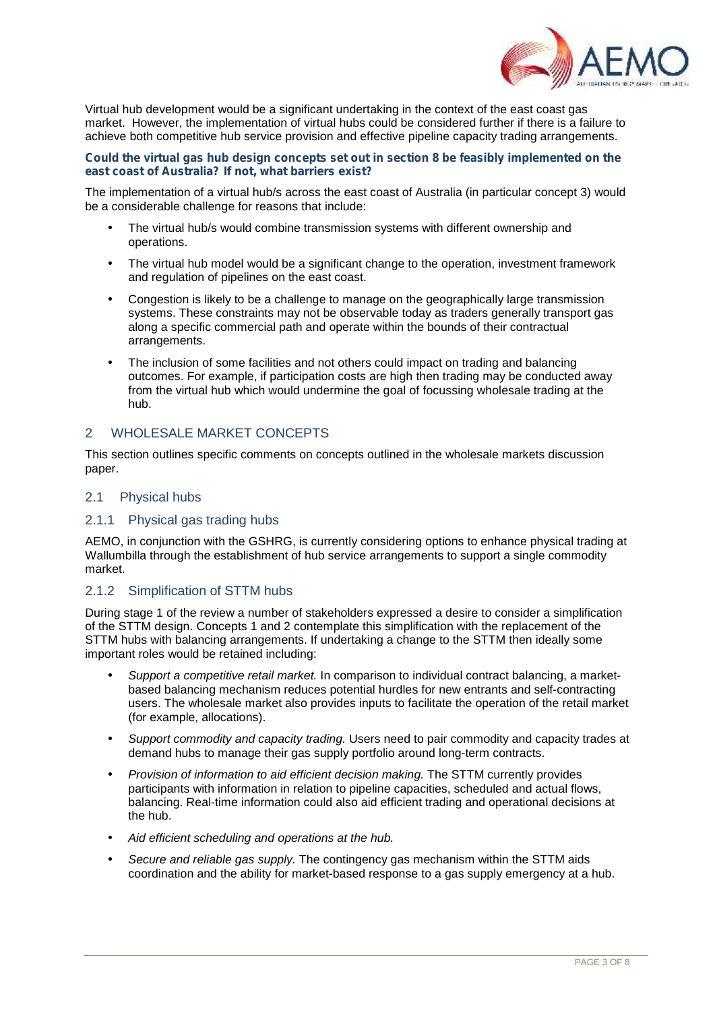

Virtual hub development would be a significant undertaking in the context of the east coast gas market. However, the implementation of virtual hubs could be considered further if there is a failure to achieve both competitive hub service provision and effective pipeline capacity trading arrangements.

### *Could the virtual gas hub design concepts set out in section 8 be feasibly implemented on the east coast of Australia? If not, what barriers exist?*

The implementation of a virtual hub/s across the east coast of Australia (in particular concept 3) would be a considerable challenge for reasons that include:

- The virtual hub/s would combine transmission systems with different ownership and operations.
- The virtual hub model would be a significant change to the operation, investment framework and regulation of pipelines on the east coast.
- Congestion is likely to be a challenge to manage on the geographically large transmission systems. These constraints may not be observable today as traders generally transport gas along a specific commercial path and operate within the bounds of their contractual arrangements.
- The inclusion of some facilities and not others could impact on trading and balancing outcomes. For example, if participation costs are high then trading may be conducted away from the virtual hub which would undermine the goal of focussing wholesale trading at the hub.

# 2 WHOLESALE MARKET CONCEPTS

This section outlines specific comments on concepts outlined in the wholesale markets discussion paper.

# 2.1 Physical hubs

# 2.1.1 Physical gas trading hubs

AEMO, in conjunction with the GSHRG, is currently considering options to enhance physical trading at Wallumbilla through the establishment of hub service arrangements to support a single commodity market.

# 2.1.2 Simplification of STTM hubs

During stage 1 of the review a number of stakeholders expressed a desire to consider a simplification of the STTM design. Concepts 1 and 2 contemplate this simplification with the replacement of the STTM hubs with balancing arrangements. If undertaking a change to the STTM then ideally some important roles would be retained including:

- *Support a competitive retail market.* In comparison to individual contract balancing, a market based balancing mechanism reduces potential hurdles for new entrants and self-contracting users. The wholesale market also provides inputs to facilitate the operation of the retail market (for example, allocations).
- *Support commodity and capacity trading.* Users need to pair commodity and capacity trades at demand hubs to manage their gas supply portfolio around long-term contracts.
- *Provision of information to aid efficient decision making.* The STTM currently provides participants with information in relation to pipeline capacities, scheduled and actual flows, balancing. Real-time information could also aid efficient trading and operational decisions at the hub.
- *Aid efficient scheduling and operations at the hub.*
- *Secure and reliable gas supply.* The contingency gas mechanism within the STTM aids coordination and the ability for market-based response to a gas supply emergency at a hub.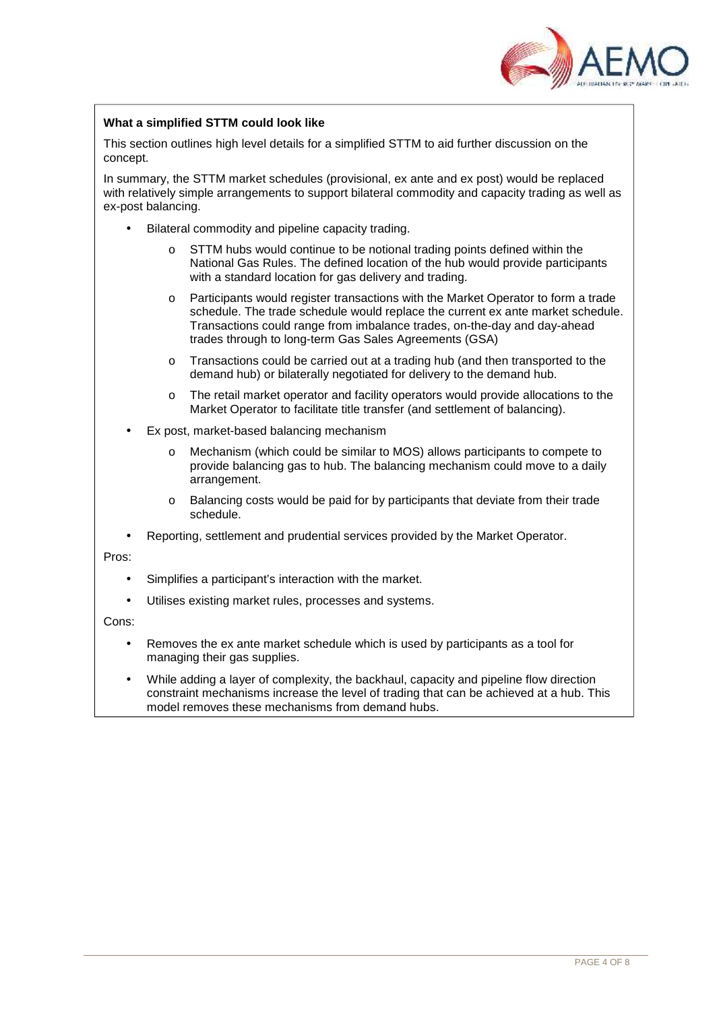

### **What a simplified STTM could look like**

This section outlines high level details for a simplified STTM to aid further discussion on the concept.

In summary, the STTM market schedules (provisional, ex ante and ex post) would be replaced with relatively simple arrangements to support bilateral commodity and capacity trading as well as ex-post balancing.

- Bilateral commodity and pipeline capacity trading.
	- o STTM hubs would continue to be notional trading points defined within the National Gas Rules. The defined location of the hub would provide participants with a standard location for gas delivery and trading.
	- o Participants would register transactions with the Market Operator to form a trade schedule. The trade schedule would replace the current ex ante market schedule. Transactions could range from imbalance trades, on-the-day and day-ahead trades through to long-term Gas Sales Agreements (GSA)
	- o Transactions could be carried out at a trading hub (and then transported to the demand hub) or bilaterally negotiated for delivery to the demand hub.
	- o The retail market operator and facility operators would provide allocations to the Market Operator to facilitate title transfer (and settlement of balancing).
- Ex post, market-based balancing mechanism
	- o Mechanism (which could be similar to MOS) allows participants to compete to provide balancing gas to hub. The balancing mechanism could move to a daily arrangement.
	- o Balancing costs would be paid for by participants that deviate from their trade schedule.
- Reporting, settlement and prudential services provided by the Market Operator.

Pros:

- Simplifies a participant's interaction with the market.
- Utilises existing market rules, processes and systems.

Cons:

- Removes the ex ante market schedule which is used by participants as a tool for managing their gas supplies.
- While adding a layer of complexity, the backhaul, capacity and pipeline flow direction constraint mechanisms increase the level of trading that can be achieved at a hub. This model removes these mechanisms from demand hubs.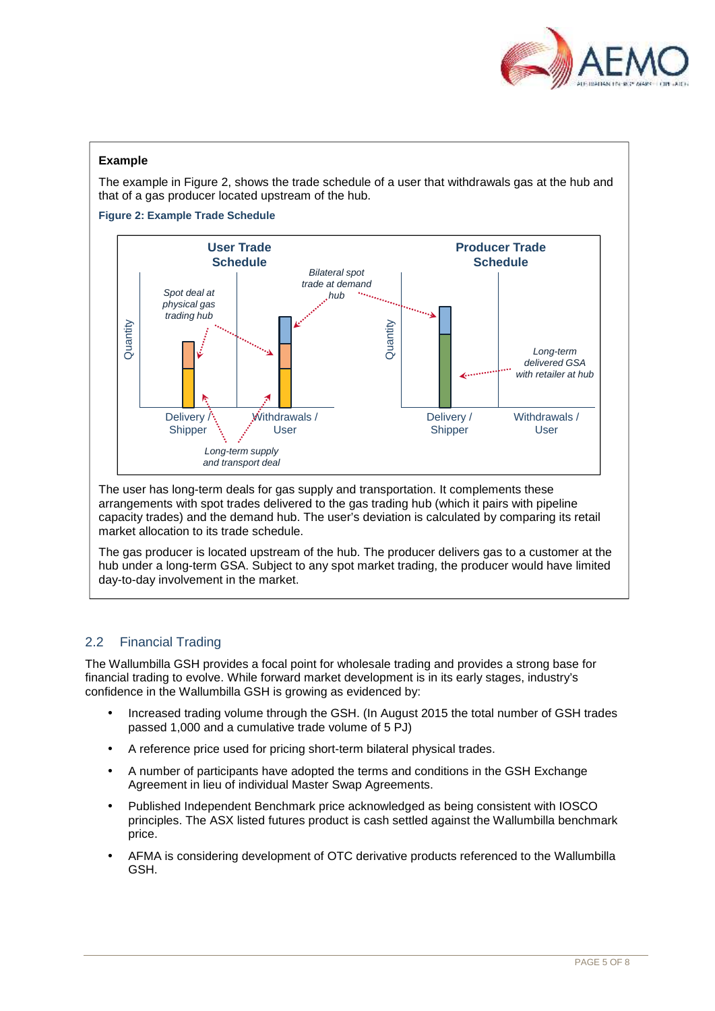

# **Example**

The example in Figure 2, shows the trade schedule of a user that withdrawals gas at the hub and that of a gas producer located upstream of the hub.

**Figure 2: Example Trade Schedule**



The user has long-term deals for gas supply and transportation. It complements these arrangements with spot trades delivered to the gas trading hub (which it pairs with pipeline capacity trades) and the demand hub. The user's deviation is calculated by comparing its retail market allocation to its trade schedule.

The gas producer is located upstream of the hub. The producer delivers gas to a customer at the hub under a long-term GSA. Subject to any spot market trading, the producer would have limited day-to-day involvement in the market.

# 2.2 Financial Trading

The Wallumbilla GSH provides a focal point for wholesale trading and provides a strong base for financial trading to evolve. While forward market development is in its early stages, industry's confidence in the Wallumbilla GSH is growing as evidenced by:

- Increased trading volume through the GSH. (In August 2015 the total number of GSH trades passed 1,000 and a cumulative trade volume of 5 PJ)
- A reference price used for pricing short-term bilateral physical trades.
- A number of participants have adopted the terms and conditions in the GSH Exchange Agreement in lieu of individual Master Swap Agreements.
- Published Independent Benchmark price acknowledged as being consistent with IOSCO principles. The ASX listed futures product is cash settled against the Wallumbilla benchmark price.
- AFMA is considering development of OTC derivative products referenced to the Wallumbilla GSH.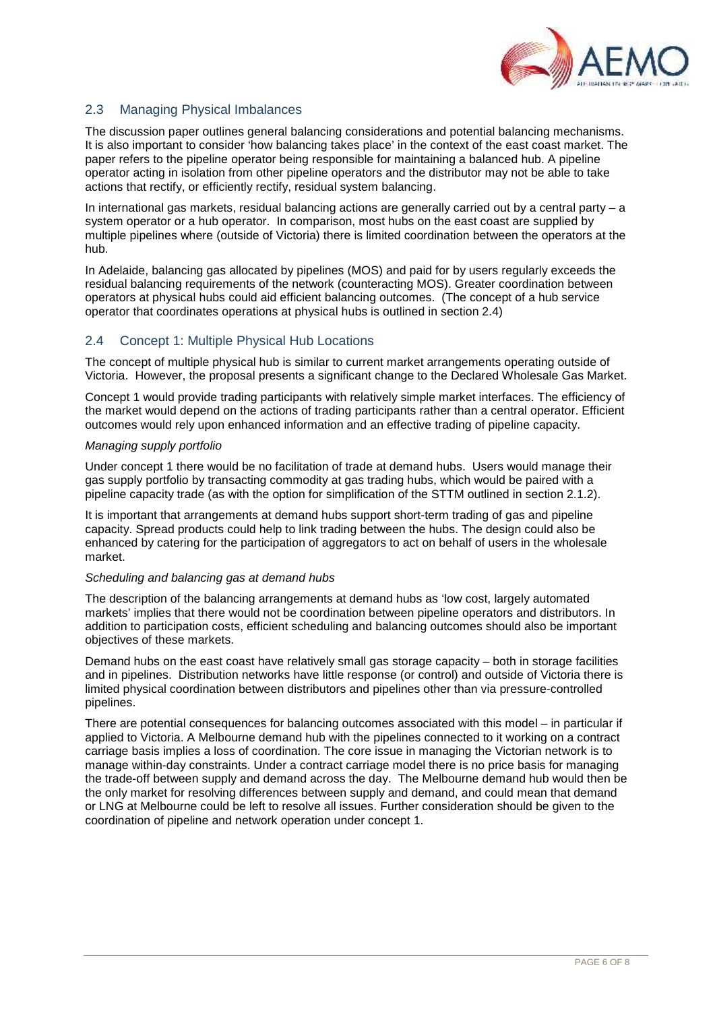

# 2.3 Managing Physical Imbalances

The discussion paper outlines general balancing considerations and potential balancing mechanisms. It is also important to consider 'how balancing takes place' in the context of the east coast market. The paper refers to the pipeline operator being responsible for maintaining a balanced hub. A pipeline operator acting in isolation from other pipeline operators and the distributor may not be able to take actions that rectify, or efficiently rectify, residual system balancing.

In international gas markets, residual balancing actions are generally carried out by a central party – a system operator or a hub operator. In comparison, most hubs on the east coast are supplied by multiple pipelines where (outside of Victoria) there is limited coordination between the operators at the hub.

In Adelaide, balancing gas allocated by pipelines (MOS) and paid for by users regularly exceeds the residual balancing requirements of the network (counteracting MOS). Greater coordination between operators at physical hubs could aid efficient balancing outcomes. (The concept of a hub service operator that coordinates operations at physical hubs is outlined in section 2.4)

# 2.4 Concept 1: Multiple Physical Hub Locations

The concept of multiple physical hub is similar to current market arrangements operating outside of Victoria. However, the proposal presents a significant change to the Declared Wholesale Gas Market.

Concept 1 would provide trading participants with relatively simple market interfaces. The efficiency of the market would depend on the actions of trading participants rather than a central operator. Efficient outcomes would rely upon enhanced information and an effective trading of pipeline capacity.

### *Managing supply portfolio*

Under concept 1 there would be no facilitation of trade at demand hubs. Users would manage their gas supply portfolio by transacting commodity at gas trading hubs, which would be paired with a pipeline capacity trade (as with the option for simplification of the STTM outlined in section 2.1.2).

It is important that arrangements at demand hubs support short-term trading of gas and pipeline capacity. Spread products could help to link trading between the hubs. The design could also be enhanced by catering for the participation of aggregators to act on behalf of users in the wholesale market.

### *Scheduling and balancing gas at demand hubs*

The description of the balancing arrangements at demand hubs as 'low cost, largely automated markets' implies that there would not be coordination between pipeline operators and distributors. In addition to participation costs, efficient scheduling and balancing outcomes should also be important objectives of these markets.

Demand hubs on the east coast have relatively small gas storage capacity – both in storage facilities and in pipelines. Distribution networks have little response (or control) and outside of Victoria there is limited physical coordination between distributors and pipelines other than via pressure-controlled pipelines.

There are potential consequences for balancing outcomes associated with this model – in particular if applied to Victoria. A Melbourne demand hub with the pipelines connected to it working on a contract carriage basis implies a loss of coordination. The core issue in managing the Victorian network is to manage within-day constraints. Under a contract carriage model there is no price basis for managing the trade-off between supply and demand across the day. The Melbourne demand hub would then be the only market for resolving differences between supply and demand, and could mean that demand or LNG at Melbourne could be left to resolve all issues. Further consideration should be given to the coordination of pipeline and network operation under concept 1.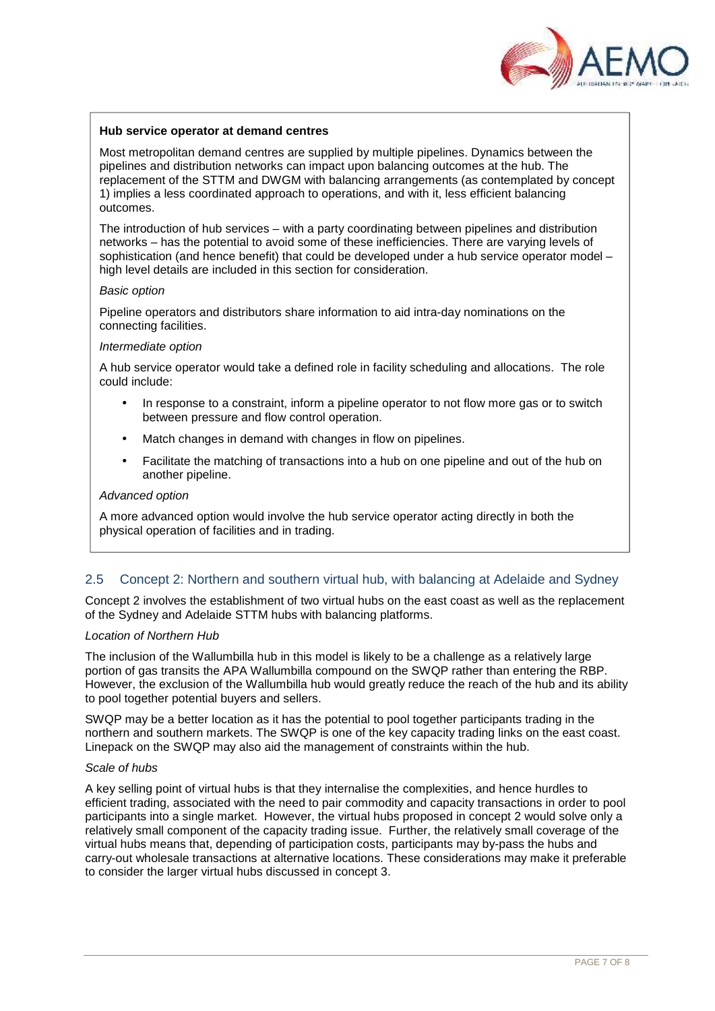

### **Hub service operator at demand centres**

Most metropolitan demand centres are supplied by multiple pipelines. Dynamics between the pipelines and distribution networks can impact upon balancing outcomes at the hub. The replacement of the STTM and DWGM with balancing arrangements (as contemplated by concept 1) implies a less coordinated approach to operations, and with it, less efficient balancing outcomes.

The introduction of hub services – with a party coordinating between pipelines and distribution networks – has the potential to avoid some of these inefficiencies. There are varying levels of sophistication (and hence benefit) that could be developed under a hub service operator model – high level details are included in this section for consideration.

### *Basic option*

Pipeline operators and distributors share information to aid intra-day nominations on the connecting facilities.

#### *Intermediate option*

A hub service operator would take a defined role in facility scheduling and allocations. The role could include:

- In response to a constraint, inform a pipeline operator to not flow more gas or to switch between pressure and flow control operation.
- Match changes in demand with changes in flow on pipelines.
- Facilitate the matching of transactions into a hub on one pipeline and out of the hub on another pipeline.

### *Advanced option*

A more advanced option would involve the hub service operator acting directly in both the physical operation of facilities and in trading.

# 2.5 Concept 2: Northern and southern virtual hub, with balancing at Adelaide and Sydney

Concept 2 involves the establishment of two virtual hubs on the east coast as well as the replacement of the Sydney and Adelaide STTM hubs with balancing platforms.

### *Location of Northern Hub*

The inclusion of the Wallumbilla hub in this model is likely to be a challenge as a relatively large portion of gas transits the APA Wallumbilla compound on the SWQP rather than entering the RBP. However, the exclusion of the Wallumbilla hub would greatly reduce the reach of the hub and its ability to pool together potential buyers and sellers.

SWQP may be a better location as it has the potential to pool together participants trading in the northern and southern markets. The SWQP is one of the key capacity trading links on the east coast. Linepack on the SWQP may also aid the management of constraints within the hub.

### *Scale of hubs*

A key selling point of virtual hubs is that they internalise the complexities, and hence hurdles to efficient trading, associated with the need to pair commodity and capacity transactions in order to pool participants into a single market. However, the virtual hubs proposed in concept 2 would solve only a relatively small component of the capacity trading issue. Further, the relatively small coverage of the virtual hubs means that, depending of participation costs, participants may by-pass the hubs and carry-out wholesale transactions at alternative locations. These considerations may make it preferable to consider the larger virtual hubs discussed in concept 3.